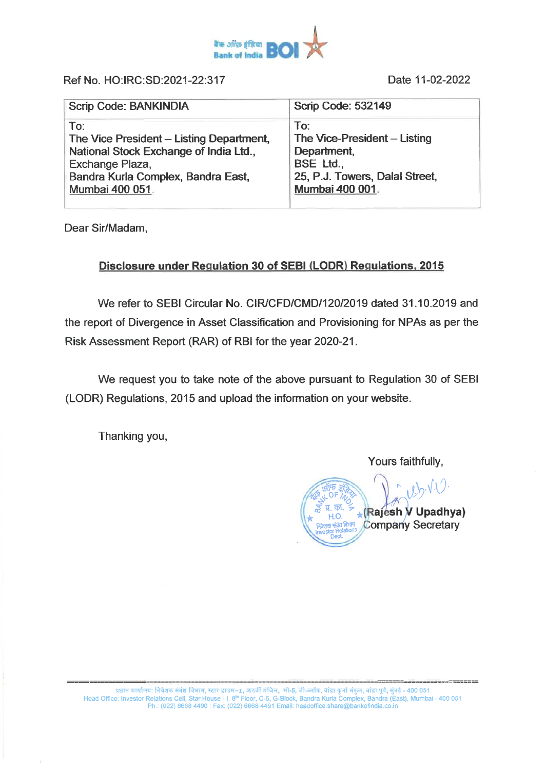

**Ref No. HO:IRC:SD:2021-22:317** 

**Date 11-02-2022** 

| <b>Scrip Code: BANKINDIA</b>             | <b>Scrip Code: 532149</b>      |
|------------------------------------------|--------------------------------|
| To:                                      | To:                            |
| The Vice President - Listing Department, | The Vice-President - Listing   |
| National Stock Exchange of India Ltd.,   | Department,                    |
| Exchange Plaza,                          | <b>BSE Ltd.,</b>               |
| Bandra Kurla Complex, Bandra East,       | 25, P.J. Towers, Dalal Street, |
| Mumbai 400 051.                          | Mumbai 400 001.                |

**Dear Sir/Madam,** 

## **Disclosure under Regulation 30 of SEBI (LODR) Regulations, 2015**

**We refer to SEBI Circular No. CIR/CFD/CMD/120/2019 dated 31.10.2019 and the report of Divergence in Asset Classification and Provisioning for NPAs as per the Risk Assessment Report (RAR) of RBI for the year 2020-21.** 

**We request you to take note of the above pursuant to Regulation 30 of SEBI (LODR) Regulations, 2015 and upload the information on your website.** 

**Thanking you,** 

**Yours faithfully,** 

 $U$ (Rajesh V Upadhya) **Company Secretary**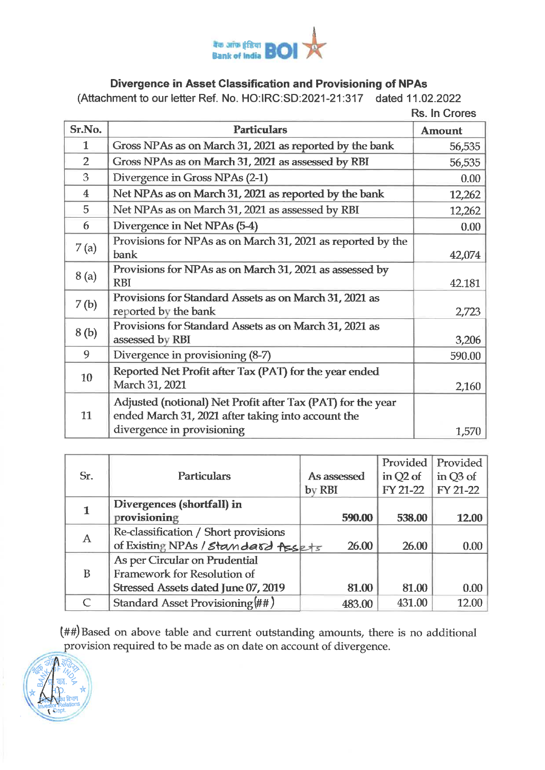

## **Divergence in Asset Classification and Provisioning of NPAs**

**(Attachment to our letter Ref. No. HO:IRC:SD:2021-21:317 dated 11.02.2022** 

**Rs. In Crores** 

| Sr.No.                  | <b>Particulars</b>                                          |               |
|-------------------------|-------------------------------------------------------------|---------------|
|                         |                                                             | <b>Amount</b> |
| $\mathbf{1}$            | Gross NPAs as on March 31, 2021 as reported by the bank     | 56,535        |
| $\overline{2}$          | Gross NPAs as on March 31, 2021 as assessed by RBI          | 56,535        |
| 3                       | Divergence in Gross NPAs (2-1)                              | 0.00          |
| $\overline{\mathbf{4}}$ | Net NPAs as on March 31, 2021 as reported by the bank       | 12,262        |
| 5                       | Net NPAs as on March 31, 2021 as assessed by RBI            | 12,262        |
| 6                       | Divergence in Net NPAs (5-4)                                | 0.00          |
| 7(a)                    | Provisions for NPAs as on March 31, 2021 as reported by the |               |
|                         | bank                                                        | 42,074        |
| 8(a)                    | Provisions for NPAs as on March 31, 2021 as assessed by     |               |
|                         | <b>RBI</b>                                                  | 42.181        |
| 7(b)                    | Provisions for Standard Assets as on March 31, 2021 as      |               |
|                         | reported by the bank                                        | 2,723         |
| 8(b)                    | Provisions for Standard Assets as on March 31, 2021 as      |               |
|                         | assessed by RBI                                             | 3,206         |
| 9                       | Divergence in provisioning (8-7)                            | 590.00        |
| 10                      | Reported Net Profit after Tax (PAT) for the year ended      |               |
|                         | March 31, 2021                                              | 2,160         |
| 11                      | Adjusted (notional) Net Profit after Tax (PAT) for the year |               |
|                         | ended March 31, 2021 after taking into account the          |               |
|                         | divergence in provisioning                                  | 1,570         |

|              |                                      |             | Provided   | Provided |
|--------------|--------------------------------------|-------------|------------|----------|
| Sr.          | <b>Particulars</b>                   | As assessed | in $Q2$ of | in Q3 of |
|              |                                      | by RBI      | FY 21-22   | FY 21-22 |
|              | Divergences (shortfall) in           |             |            |          |
|              | provisioning                         | 590.00      | 538.00     | 12.00    |
| $\mathbf{A}$ | Re-classification / Short provisions |             |            |          |
|              | of Existing NPAs / Standard Assets   | 26.00       | 26.00      | 0.00     |
| B            | As per Circular on Prudential        |             |            |          |
|              | Framework for Resolution of          |             |            |          |
|              | Stressed Assets dated June 07, 2019  | 81.00       | 81.00      | 0.00     |
|              | Standard Asset Provisioning (##)     | 483.00      | 431.00     | 12.00    |

**##) Based on above table and current outstanding amounts, there is no additional provision required to be made as on date on account of divergence.**